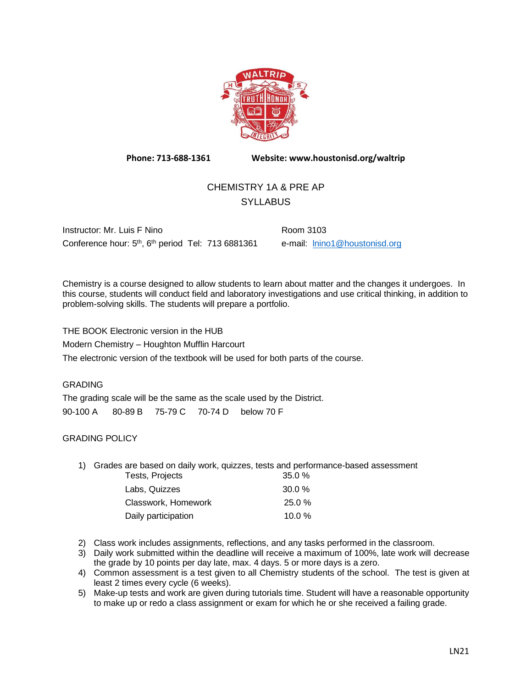

**Phone: 713-688-1361 Website: www.houstonisd.org/waltrip**

# CHEMISTRY 1A & PRE AP **SYLLABUS**

Instructor: Mr. Luis F Nino Room 3103 Conference hour: 5<sup>th</sup>, 6<sup>th</sup> period Tel: 713 6881361 e-mail: **Inino1@houstonisd.org** 

Chemistry is a course designed to allow students to learn about matter and the changes it undergoes. In this course, students will conduct field and laboratory investigations and use critical thinking, in addition to problem-solving skills. The students will prepare a portfolio.

THE BOOK Electronic version in the HUB

Modern Chemistry – Houghton Mufflin Harcourt

The electronic version of the textbook will be used for both parts of the course.

## GRADING

The grading scale will be the same as the scale used by the District. 90-100 A 80-89 B 75-79 C 70-74 D below 70 F

### GRADING POLICY

1) Grades are based on daily work, quizzes, tests and performance-based assessment

| Tests, Projects     | 35.0%     |
|---------------------|-----------|
| Labs, Quizzes       | $30.0 \%$ |
| Classwork, Homework | $25.0 \%$ |
| Daily participation | 10.0 $%$  |

- 2) Class work includes assignments, reflections, and any tasks performed in the classroom.
- 3) Daily work submitted within the deadline will receive a maximum of 100%, late work will decrease the grade by 10 points per day late, max. 4 days. 5 or more days is a zero.
- 4) Common assessment is a test given to all Chemistry students of the school. The test is given at least 2 times every cycle (6 weeks).
- 5) Make-up tests and work are given during tutorials time. Student will have a reasonable opportunity to make up or redo a class assignment or exam for which he or she received a failing grade.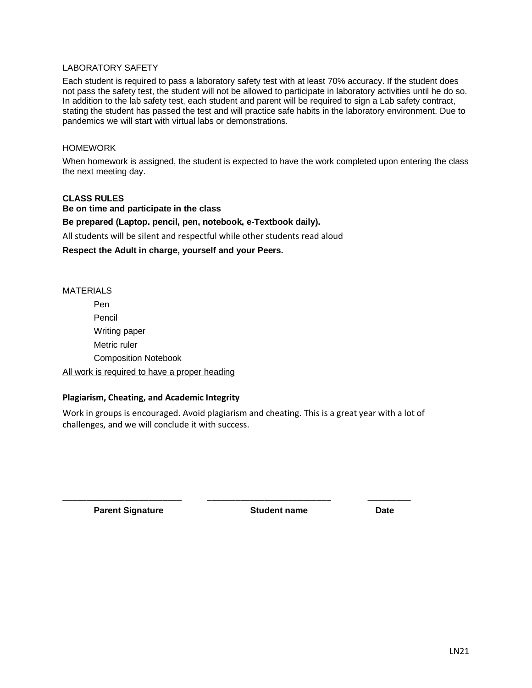#### LABORATORY SAFETY

Each student is required to pass a laboratory safety test with at least 70% accuracy. If the student does not pass the safety test, the student will not be allowed to participate in laboratory activities until he do so. In addition to the lab safety test, each student and parent will be required to sign a Lab safety contract, stating the student has passed the test and will practice safe habits in the laboratory environment. Due to pandemics we will start with virtual labs or demonstrations.

#### HOMEWORK

When homework is assigned, the student is expected to have the work completed upon entering the class the next meeting day.

#### **CLASS RULES**

**Be on time and participate in the class Be prepared (Laptop. pencil, pen, notebook, e-Textbook daily).** All students will be silent and respectful while other students read aloud **Respect the Adult in charge, yourself and your Peers.**

#### MATERIALS

Pen Pencil Writing paper Metric ruler Composition Notebook

# All work is required to have a proper heading

## **Plagiarism, Cheating, and Academic Integrity**

Work in groups is encouraged. Avoid plagiarism and cheating. This is a great year with a lot of challenges, and we will conclude it with success.

\_\_\_\_\_\_\_\_\_\_\_\_\_\_\_\_\_\_\_\_\_\_\_\_\_ \_\_\_\_\_\_\_\_\_\_\_\_\_\_\_\_\_\_\_\_\_\_\_\_\_\_ \_\_\_\_\_\_\_\_\_

**Parent Signature <b>Constructed Exercise Student name Date Date**